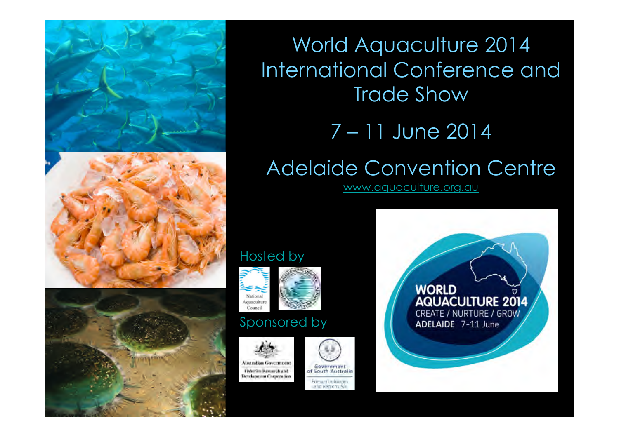

World Aquaculture 2014 International Conference and Trade Show

### 7 – 11 June 2014

# Adelaide Convention Centre

www.aquaculture.org.au

#### Hosted by





### Sponsored by





**Development Corporation** 





**WORLD AQUACULTURE 2014** CREATE / NURTURE / GROW ADELAIDE 7-11 June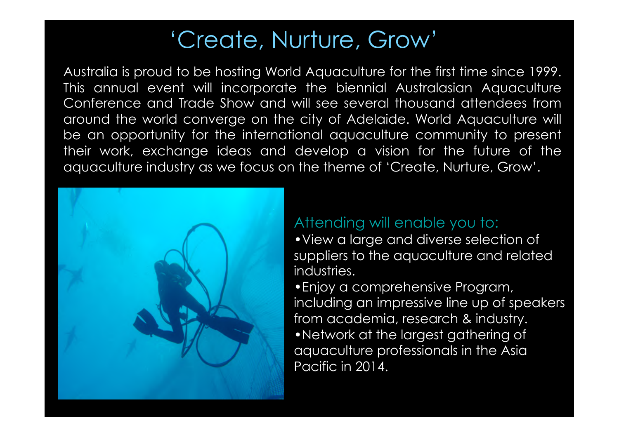## 'Create, Nurture, Grow'

Australia is proud to be hosting World Aquaculture for the first time since 1999. This annual event will incorporate the biennial Australasian Aquaculture Conference and Trade Show and will see several thousand attendees from around the world converge on the city of Adelaide. World Aquaculture will be an opportunity for the international aquaculture community to present their work, exchange ideas and develop a vision for the future of the aquaculture industry as we focus on the theme of 'Create, Nurture, Grow'.



### Attending will enable you to:

•View a large and diverse selection of suppliers to the aquaculture and related industries.

•Enjoy a comprehensive Program, including an impressive line up of speakers from academia, research & industry. •Network at the largest gathering of aquaculture professionals in the Asia Pacific in 2014.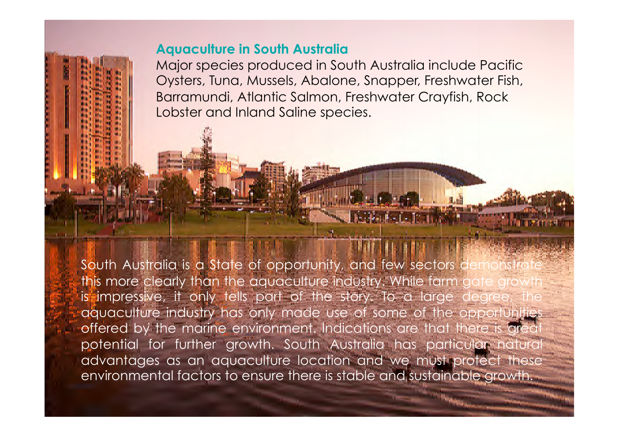#### **Aquaculture in South Australia**

be the world's earliest and world's earliest and world's earliest and world's earliest and world's earliest and

**It has been down that the salmon**, Freshwater Crayfish, Rock **Gundit in Western Victoria flow in Western Victoria flourished through the incremental contracts** Major species produced in South Australia include Pacific Oysters, Tuna, Mussels, Abalone, Snapper, Freshwater Fish,

ingenious method of channeling water flows and systematically water flows and systematically water flows and systematically controlled the channeling water flows and systematically controlled the channeling controlled the

harvesting extensive a year around supply. This could argue a year around supply. This could argue around argu

In recent times, aquaculture in Victoria has been growing over the

past ten years. Aquaculture is managed under the *Fisheries Act* 

development and promotion of an ecological line and promotion of an ecological line and promotion of an ecological

(Victoria) 1995. The Act provides for the management, the management, the management, the management, the management, the management, the management, the management, the management, the management, the management, the mana

South Australia is a State of opportunity, and few sectors demonstrate is impressive, it only tells part of the story. To a large degree, the aquaculture industry has only made use of some of the opportunities offered by the marine environment. Indications are that there is great potential for further growth. South Australia has particular natural this more clearly than the aquaculture industry. While farm advantages as an aquaculture location and we must protect these environmental factors to ensure there is stable and sustainable growth.